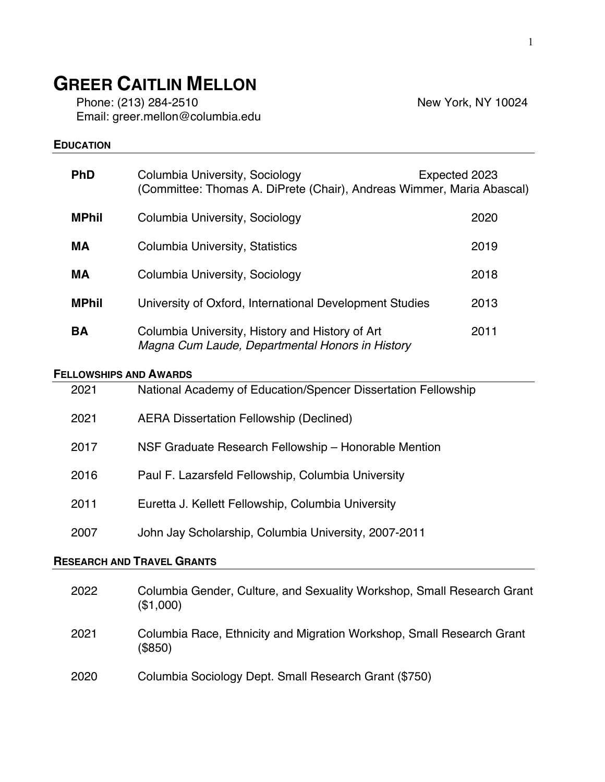# **GREER CAITLIN MELLON**

Phone: (213) 284-2510 Email: greer.mellon@columbia.edu

| <b>EDUCATION</b>                  |                                                                                                                          |      |
|-----------------------------------|--------------------------------------------------------------------------------------------------------------------------|------|
| <b>PhD</b>                        | Columbia University, Sociology<br>Expected 2023<br>(Committee: Thomas A. DiPrete (Chair), Andreas Wimmer, Maria Abascal) |      |
| <b>MPhil</b>                      | Columbia University, Sociology                                                                                           | 2020 |
| MА                                | Columbia University, Statistics                                                                                          | 2019 |
| MА                                | Columbia University, Sociology                                                                                           | 2018 |
| <b>MPhil</b>                      | University of Oxford, International Development Studies                                                                  | 2013 |
| <b>BA</b>                         | Columbia University, History and History of Art<br>Magna Cum Laude, Departmental Honors in History                       | 2011 |
| <b>FELLOWSHIPS AND AWARDS</b>     |                                                                                                                          |      |
| 2021                              | National Academy of Education/Spencer Dissertation Fellowship                                                            |      |
| 2021                              | <b>AERA Dissertation Fellowship (Declined)</b>                                                                           |      |
| 2017                              | NSF Graduate Research Fellowship - Honorable Mention                                                                     |      |
| 2016                              | Paul F. Lazarsfeld Fellowship, Columbia University                                                                       |      |
| 2011                              | Euretta J. Kellett Fellowship, Columbia University                                                                       |      |
| 2007                              | John Jay Scholarship, Columbia University, 2007-2011                                                                     |      |
| <b>RESEARCH AND TRAVEL GRANTS</b> |                                                                                                                          |      |
| 2022                              | Columbia Gender, Culture, and Sexuality Workshop, Small Research Grant<br>(\$1,000)                                      |      |
| 2021                              | Columbia Race, Ethnicity and Migration Workshop, Small Research Grant<br>(\$850)                                         |      |

2020 Columbia Sociology Dept. Small Research Grant (\$750)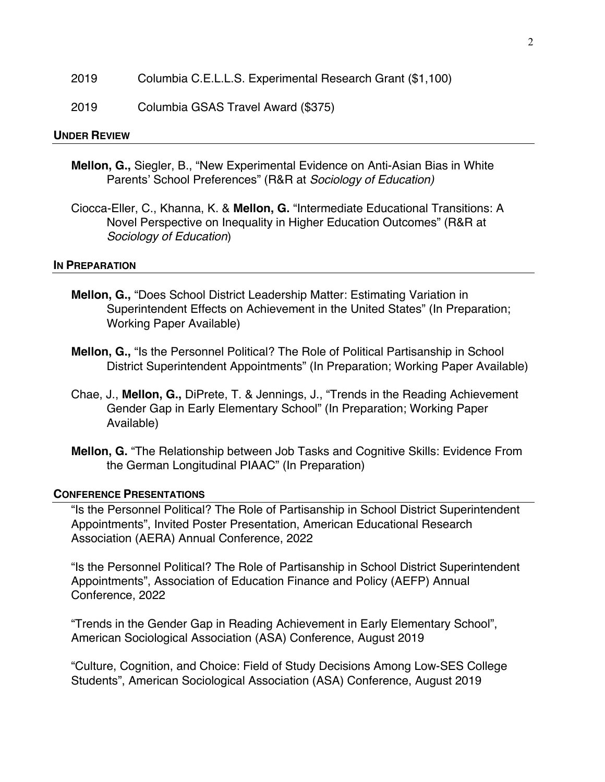2019 Columbia C.E.L.L.S. Experimental Research Grant (\$1,100)

2019 Columbia GSAS Travel Award (\$375)

#### **UNDER REVIEW**

- **Mellon, G.,** Siegler, B., "New Experimental Evidence on Anti-Asian Bias in White Parents' School Preferences" (R&R at *Sociology of Education)*
- Ciocca-Eller, C., Khanna, K. & **Mellon, G.** "Intermediate Educational Transitions: A Novel Perspective on Inequality in Higher Education Outcomes" (R&R at *Sociology of Education*)

#### **IN PREPARATION**

- **Mellon, G.,** "Does School District Leadership Matter: Estimating Variation in Superintendent Effects on Achievement in the United States" (In Preparation; Working Paper Available)
- **Mellon, G.,** "Is the Personnel Political? The Role of Political Partisanship in School District Superintendent Appointments" (In Preparation; Working Paper Available)
- Chae, J., **Mellon, G.,** DiPrete, T. & Jennings, J., "Trends in the Reading Achievement Gender Gap in Early Elementary School" (In Preparation; Working Paper Available)
- **Mellon, G.** "The Relationship between Job Tasks and Cognitive Skills: Evidence From the German Longitudinal PIAAC" (In Preparation)

#### **CONFERENCE PRESENTATIONS**

"Is the Personnel Political? The Role of Partisanship in School District Superintendent Appointments", Invited Poster Presentation, American Educational Research Association (AERA) Annual Conference, 2022

"Is the Personnel Political? The Role of Partisanship in School District Superintendent Appointments", Association of Education Finance and Policy (AEFP) Annual Conference, 2022

"Trends in the Gender Gap in Reading Achievement in Early Elementary School", American Sociological Association (ASA) Conference, August 2019

"Culture, Cognition, and Choice: Field of Study Decisions Among Low-SES College Students", American Sociological Association (ASA) Conference, August 2019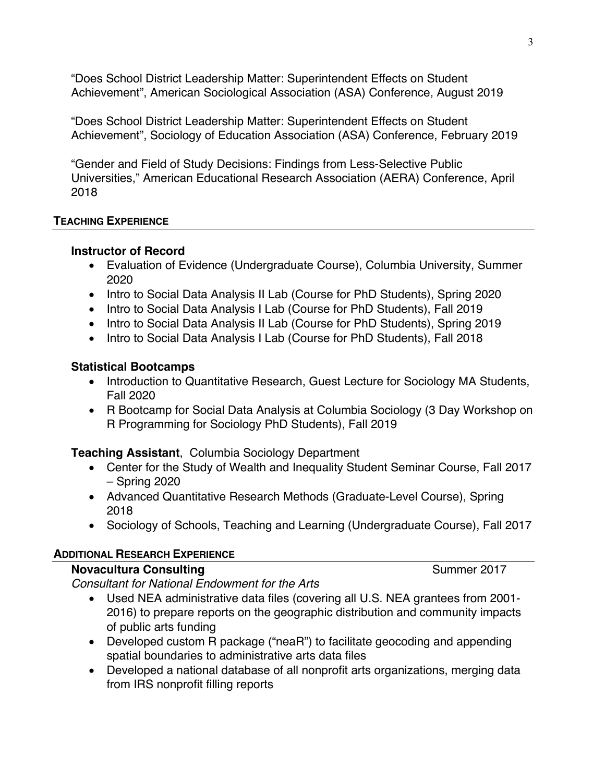"Does School District Leadership Matter: Superintendent Effects on Student Achievement", American Sociological Association (ASA) Conference, August 2019

"Does School District Leadership Matter: Superintendent Effects on Student Achievement", Sociology of Education Association (ASA) Conference, February 2019

"Gender and Field of Study Decisions: Findings from Less-Selective Public Universities," American Educational Research Association (AERA) Conference, April 2018

#### **TEACHING EXPERIENCE**

#### **Instructor of Record**

- Evaluation of Evidence (Undergraduate Course), Columbia University, Summer 2020
- Intro to Social Data Analysis II Lab (Course for PhD Students), Spring 2020
- Intro to Social Data Analysis I Lab (Course for PhD Students), Fall 2019
- Intro to Social Data Analysis II Lab (Course for PhD Students), Spring 2019
- Intro to Social Data Analysis I Lab (Course for PhD Students), Fall 2018

## **Statistical Bootcamps**

- Introduction to Quantitative Research, Guest Lecture for Sociology MA Students, Fall 2020
- R Bootcamp for Social Data Analysis at Columbia Sociology (3 Day Workshop on R Programming for Sociology PhD Students), Fall 2019

## **Teaching Assistant**, Columbia Sociology Department

- Center for the Study of Wealth and Inequality Student Seminar Course, Fall 2017 – Spring 2020
- Advanced Quantitative Research Methods (Graduate-Level Course), Spring 2018
- Sociology of Schools, Teaching and Learning (Undergraduate Course), Fall 2017

## **ADDITIONAL RESEARCH EXPERIENCE**

## **Novacultura Consulting**   $\sim$  8 Summer 2017

*Consultant for National Endowment for the Arts*

- Used NEA administrative data files (covering all U.S. NEA grantees from 2001- 2016) to prepare reports on the geographic distribution and community impacts of public arts funding
- Developed custom R package ("neaR") to facilitate geocoding and appending spatial boundaries to administrative arts data files
- Developed a national database of all nonprofit arts organizations, merging data from IRS nonprofit filling reports